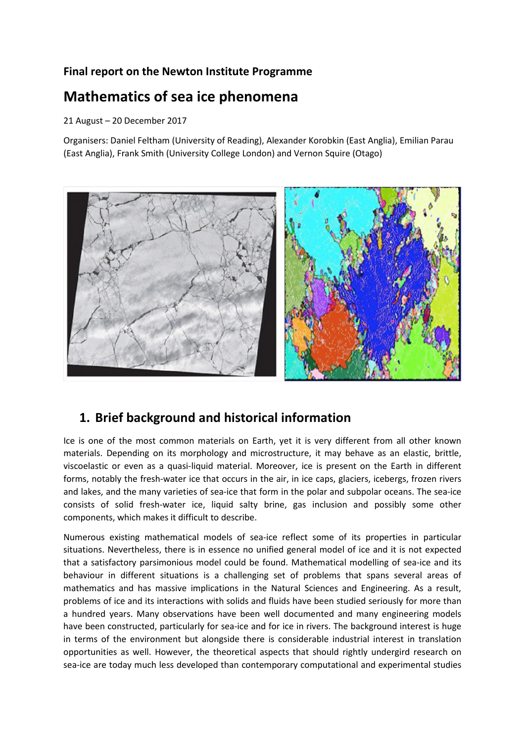### **Final report on the Newton Institute Programme**

# **Mathematics of sea ice phenomena**

### 21 August – 20 December 2017

Organisers: Daniel Feltham (University of Reading), Alexander Korobkin (East Anglia), Emilian Parau (East Anglia), Frank Smith (University College London) and Vernon Squire (Otago)



# **1. Brief background and historical information**

Ice is one of the most common materials on Earth, yet it is very different from all other known materials. Depending on its morphology and microstructure, it may behave as an elastic, brittle, viscoelastic or even as a quasi-liquid material. Moreover, ice is present on the Earth in different forms, notably the fresh-water ice that occurs in the air, in ice caps, glaciers, icebergs, frozen rivers and lakes, and the many varieties of sea-ice that form in the polar and subpolar oceans. The sea-ice consists of solid fresh-water ice, liquid salty brine, gas inclusion and possibly some other components, which makes it difficult to describe.

Numerous existing mathematical models of sea-ice reflect some of its properties in particular situations. Nevertheless, there is in essence no unified general model of ice and it is not expected that a satisfactory parsimonious model could be found. Mathematical modelling of sea-ice and its behaviour in different situations is a challenging set of problems that spans several areas of mathematics and has massive implications in the Natural Sciences and Engineering. As a result, problems of ice and its interactions with solids and fluids have been studied seriously for more than a hundred years. Many observations have been well documented and many engineering models have been constructed, particularly for sea-ice and for ice in rivers. The background interest is huge in terms of the environment but alongside there is considerable industrial interest in translation opportunities as well. However, the theoretical aspects that should rightly undergird research on sea-ice are today much less developed than contemporary computational and experimental studies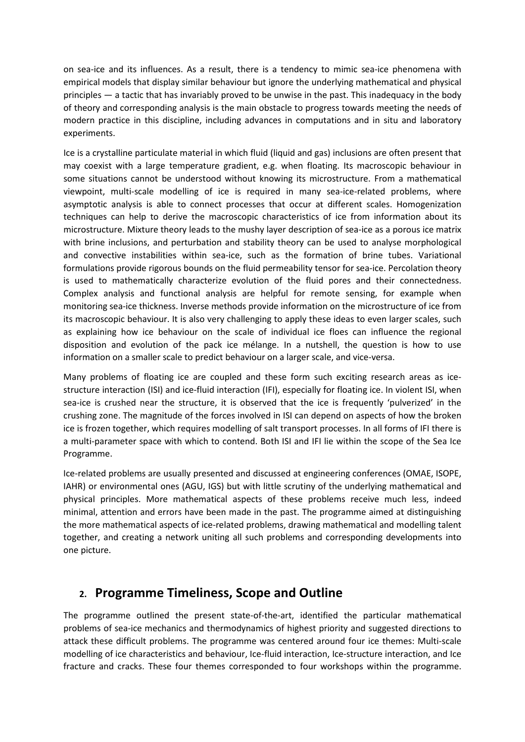on sea-ice and its influences. As a result, there is a tendency to mimic sea-ice phenomena with empirical models that display similar behaviour but ignore the underlying mathematical and physical principles — a tactic that has invariably proved to be unwise in the past. This inadequacy in the body of theory and corresponding analysis is the main obstacle to progress towards meeting the needs of modern practice in this discipline, including advances in computations and in situ and laboratory experiments.

Ice is a crystalline particulate material in which fluid (liquid and gas) inclusions are often present that may coexist with a large temperature gradient, e.g. when floating. Its macroscopic behaviour in some situations cannot be understood without knowing its microstructure. From a mathematical viewpoint, multi-scale modelling of ice is required in many sea-ice-related problems, where asymptotic analysis is able to connect processes that occur at different scales. Homogenization techniques can help to derive the macroscopic characteristics of ice from information about its microstructure. Mixture theory leads to the mushy layer description of sea-ice as a porous ice matrix with brine inclusions, and perturbation and stability theory can be used to analyse morphological and convective instabilities within sea-ice, such as the formation of brine tubes. Variational formulations provide rigorous bounds on the fluid permeability tensor for sea-ice. Percolation theory is used to mathematically characterize evolution of the fluid pores and their connectedness. Complex analysis and functional analysis are helpful for remote sensing, for example when monitoring sea-ice thickness. Inverse methods provide information on the microstructure of ice from its macroscopic behaviour. It is also very challenging to apply these ideas to even larger scales, such as explaining how ice behaviour on the scale of individual ice floes can influence the regional disposition and evolution of the pack ice mélange. In a nutshell, the question is how to use information on a smaller scale to predict behaviour on a larger scale, and vice-versa.

Many problems of floating ice are coupled and these form such exciting research areas as icestructure interaction (ISI) and ice-fluid interaction (IFI), especially for floating ice. In violent ISI, when sea-ice is crushed near the structure, it is observed that the ice is frequently 'pulverized' in the crushing zone. The magnitude of the forces involved in ISI can depend on aspects of how the broken ice is frozen together, which requires modelling of salt transport processes. In all forms of IFI there is a multi-parameter space with which to contend. Both ISI and IFI lie within the scope of the Sea Ice Programme.

Ice-related problems are usually presented and discussed at engineering conferences (OMAE, ISOPE, IAHR) or environmental ones (AGU, IGS) but with little scrutiny of the underlying mathematical and physical principles. More mathematical aspects of these problems receive much less, indeed minimal, attention and errors have been made in the past. The programme aimed at distinguishing the more mathematical aspects of ice-related problems, drawing mathematical and modelling talent together, and creating a network uniting all such problems and corresponding developments into one picture.

## **2. Programme Timeliness, Scope and Outline**

The programme outlined the present state-of-the-art, identified the particular mathematical problems of sea-ice mechanics and thermodynamics of highest priority and suggested directions to attack these difficult problems. The programme was centered around four ice themes: Multi-scale modelling of ice characteristics and behaviour, Ice-fluid interaction, Ice-structure interaction, and Ice fracture and cracks. These four themes corresponded to four workshops within the programme.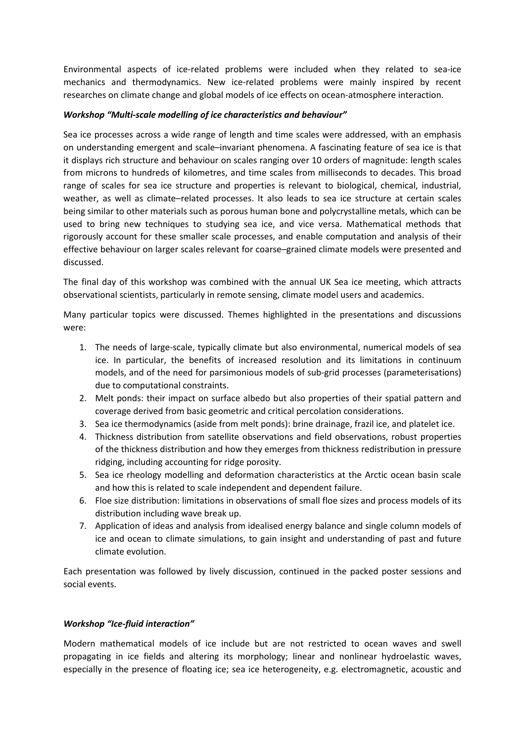Environmental aspects of ice-related problems were included when they related to sea-ice mechanics and thermodynamics. New ice-related problems were mainly inspired by recent researches on climate change and global models of ice effects on ocean-atmosphere interaction.

#### *Workshop "Multi-scale modelling of ice characteristics and behaviour"*

Sea ice processes across a wide range of length and time scales were addressed, with an emphasis on understanding emergent and scale–invariant phenomena. A fascinating feature of sea ice is that it displays rich structure and behaviour on scales ranging over 10 orders of magnitude: length scales from microns to hundreds of kilometres, and time scales from milliseconds to decades. This broad range of scales for sea ice structure and properties is relevant to biological, chemical, industrial, weather, as well as climate–related processes. It also leads to sea ice structure at certain scales being similar to other materials such as porous human bone and polycrystalline metals, which can be used to bring new techniques to studying sea ice, and vice versa. Mathematical methods that rigorously account for these smaller scale processes, and enable computation and analysis of their effective behaviour on larger scales relevant for coarse–grained climate models were presented and discussed.

The final day of this workshop was combined with the annual UK Sea ice meeting, which attracts observational scientists, particularly in remote sensing, climate model users and academics.

Many particular topics were discussed. Themes highlighted in the presentations and discussions were:

- 1. The needs of large-scale, typically climate but also environmental, numerical models of sea ice. In particular, the benefits of increased resolution and its limitations in continuum models, and of the need for parsimonious models of sub-grid processes (parameterisations) due to computational constraints.
- 2. Melt ponds: their impact on surface albedo but also properties of their spatial pattern and coverage derived from basic geometric and critical percolation considerations.
- 3. Sea ice thermodynamics (aside from melt ponds): brine drainage, frazil ice, and platelet ice.
- 4. Thickness distribution from satellite observations and field observations, robust properties of the thickness distribution and how they emerges from thickness redistribution in pressure ridging, including accounting for ridge porosity.
- 5. Sea ice rheology modelling and deformation characteristics at the Arctic ocean basin scale and how this is related to scale independent and dependent failure.
- 6. Floe size distribution: limitations in observations of small floe sizes and process models of its distribution including wave break up.
- 7. Application of ideas and analysis from idealised energy balance and single column models of ice and ocean to climate simulations, to gain insight and understanding of past and future climate evolution.

Each presentation was followed by lively discussion, continued in the packed poster sessions and social events.

### *Workshop "Ice-fluid interaction"*

Modern mathematical models of ice include but are not restricted to ocean waves and swell propagating in ice fields and altering its morphology; linear and nonlinear hydroelastic waves, especially in the presence of floating ice; sea ice heterogeneity, e.g. electromagnetic, acoustic and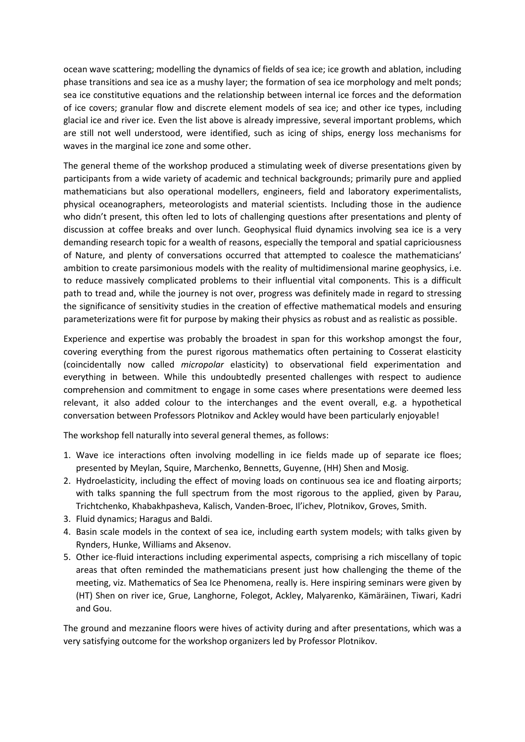ocean wave scattering; modelling the dynamics of fields of sea ice; ice growth and ablation, including phase transitions and sea ice as a mushy layer; the formation of sea ice morphology and melt ponds; sea ice constitutive equations and the relationship between internal ice forces and the deformation of ice covers; granular flow and discrete element models of sea ice; and other ice types, including glacial ice and river ice. Even the list above is already impressive, several important problems, which are still not well understood, were identified, such as icing of ships, energy loss mechanisms for waves in the marginal ice zone and some other.

The general theme of the workshop produced a stimulating week of diverse presentations given by participants from a wide variety of academic and technical backgrounds; primarily pure and applied mathematicians but also operational modellers, engineers, field and laboratory experimentalists, physical oceanographers, meteorologists and material scientists. Including those in the audience who didn't present, this often led to lots of challenging questions after presentations and plenty of discussion at coffee breaks and over lunch. Geophysical fluid dynamics involving sea ice is a very demanding research topic for a wealth of reasons, especially the temporal and spatial capriciousness of Nature, and plenty of conversations occurred that attempted to coalesce the mathematicians' ambition to create parsimonious models with the reality of multidimensional marine geophysics, i.e. to reduce massively complicated problems to their influential vital components. This is a difficult path to tread and, while the journey is not over, progress was definitely made in regard to stressing the significance of sensitivity studies in the creation of effective mathematical models and ensuring parameterizations were fit for purpose by making their physics as robust and as realistic as possible.

Experience and expertise was probably the broadest in span for this workshop amongst the four, covering everything from the purest rigorous mathematics often pertaining to Cosserat elasticity (coincidentally now called *micropolar* elasticity) to observational field experimentation and everything in between. While this undoubtedly presented challenges with respect to audience comprehension and commitment to engage in some cases where presentations were deemed less relevant, it also added colour to the interchanges and the event overall, e.g. a hypothetical conversation between Professors Plotnikov and Ackley would have been particularly enjoyable!

The workshop fell naturally into several general themes, as follows:

- 1. Wave ice interactions often involving modelling in ice fields made up of separate ice floes; presented by Meylan, Squire, Marchenko, Bennetts, Guyenne, (HH) Shen and Mosig.
- 2. Hydroelasticity, including the effect of moving loads on continuous sea ice and floating airports; with talks spanning the full spectrum from the most rigorous to the applied, given by Parau, Trichtchenko, Khabakhpasheva, Kalisch, Vanden-Broec, Il'ichev, Plotnikov, Groves, Smith.
- 3. Fluid dynamics; Haragus and Baldi.
- 4. Basin scale models in the context of sea ice, including earth system models; with talks given by Rynders, Hunke, Williams and Aksenov.
- 5. Other ice-fluid interactions including experimental aspects, comprising a rich miscellany of topic areas that often reminded the mathematicians present just how challenging the theme of the meeting, viz. Mathematics of Sea Ice Phenomena, really is. Here inspiring seminars were given by (HT) Shen on river ice, Grue, Langhorne, Folegot, Ackley, Malyarenko, Kämäräinen, Tiwari, Kadri and Gou.

The ground and mezzanine floors were hives of activity during and after presentations, which was a very satisfying outcome for the workshop organizers led by Professor Plotnikov.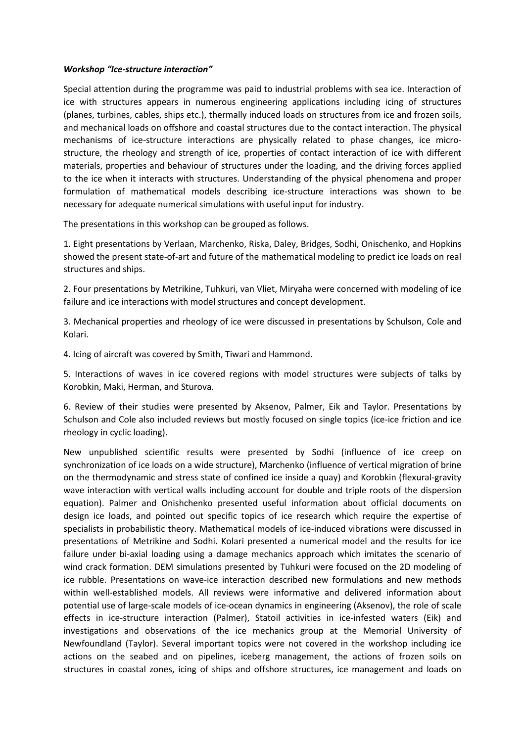#### *Workshop "Ice-structure interaction"*

Special attention during the programme was paid to industrial problems with sea ice. Interaction of ice with structures appears in numerous engineering applications including icing of structures (planes, turbines, cables, ships etc.), thermally induced loads on structures from ice and frozen soils, and mechanical loads on offshore and coastal structures due to the contact interaction. The physical mechanisms of ice-structure interactions are physically related to phase changes, ice microstructure, the rheology and strength of ice, properties of contact interaction of ice with different materials, properties and behaviour of structures under the loading, and the driving forces applied to the ice when it interacts with structures. Understanding of the physical phenomena and proper formulation of mathematical models describing ice-structure interactions was shown to be necessary for adequate numerical simulations with useful input for industry.

The presentations in this workshop can be grouped as follows.

1. Eight presentations by Verlaan, Marchenko, Riska, Daley, Bridges, Sodhi, Onischenko, and Hopkins showed the present state-of-art and future of the mathematical modeling to predict ice loads on real structures and ships.

2. Four presentations by Metrikine, Tuhkuri, van Vliet, Miryaha were concerned with modeling of ice failure and ice interactions with model structures and concept development.

3. Mechanical properties and rheology of ice were discussed in presentations by Schulson, Cole and Kolari.

4. Icing of aircraft was covered by Smith, Tiwari and Hammond.

5. Interactions of waves in ice covered regions with model structures were subjects of talks by Korobkin, Maki, Herman, and Sturova.

6. Review of their studies were presented by Aksenov, Palmer, Eik and Taylor. Presentations by Schulson and Cole also included reviews but mostly focused on single topics (ice-ice friction and ice rheology in cyclic loading).

New unpublished scientific results were presented by Sodhi (influence of ice creep on synchronization of ice loads on a wide structure), Marchenko (influence of vertical migration of brine on the thermodynamic and stress state of confined ice inside a quay) and Korobkin (flexural-gravity wave interaction with vertical walls including account for double and triple roots of the dispersion equation). Palmer and Onishchenko presented useful information about official documents on design ice loads, and pointed out specific topics of ice research which require the expertise of specialists in probabilistic theory. Mathematical models of ice-induced vibrations were discussed in presentations of Metrikine and Sodhi. Kolari presented a numerical model and the results for ice failure under bi-axial loading using a damage mechanics approach which imitates the scenario of wind crack formation. DEM simulations presented by Tuhkuri were focused on the 2D modeling of ice rubble. Presentations on wave-ice interaction described new formulations and new methods within well-established models. All reviews were informative and delivered information about potential use of large-scale models of ice-ocean dynamics in engineering (Aksenov), the role of scale effects in ice-structure interaction (Palmer), Statoil activities in ice-infested waters (Eik) and investigations and observations of the ice mechanics group at the Memorial University of Newfoundland (Taylor). Several important topics were not covered in the workshop including ice actions on the seabed and on pipelines, iceberg management, the actions of frozen soils on structures in coastal zones, icing of ships and offshore structures, ice management and loads on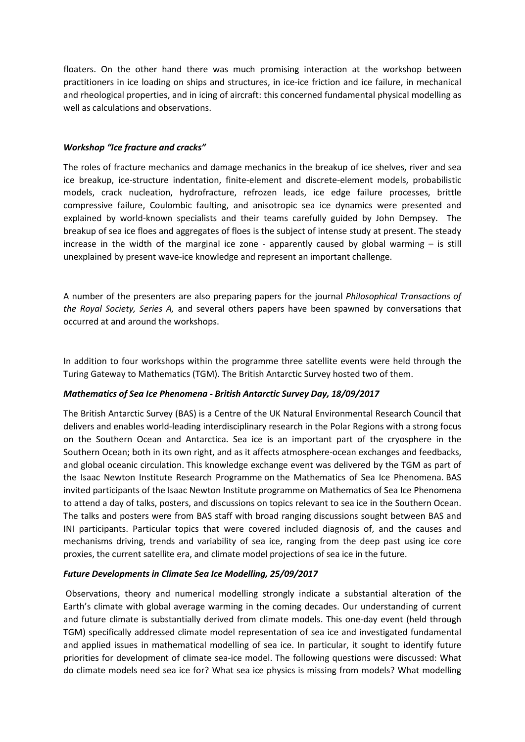floaters. On the other hand there was much promising interaction at the workshop between practitioners in ice loading on ships and structures, in ice-ice friction and ice failure, in mechanical and rheological properties, and in icing of aircraft: this concerned fundamental physical modelling as well as calculations and observations.

#### *Workshop "Ice fracture and cracks"*

The roles of fracture mechanics and damage mechanics in the breakup of ice shelves, river and sea ice breakup, ice-structure indentation, finite-element and discrete-element models, probabilistic models, crack nucleation, hydrofracture, refrozen leads, ice edge failure processes, brittle compressive failure, Coulombic faulting, and anisotropic sea ice dynamics were presented and explained by world-known specialists and their teams carefully guided by John Dempsey. The breakup of sea ice floes and aggregates of floes is the subject of intense study at present. The steady increase in the width of the marginal ice zone - apparently caused by global warming  $-$  is still unexplained by present wave-ice knowledge and represent an important challenge.

A number of the presenters are also preparing papers for the journal *Philosophical Transactions of the Royal Society, Series A,* and several others papers have been spawned by conversations that occurred at and around the workshops.

In addition to four workshops within the programme three satellite events were held through the Turing Gateway to Mathematics (TGM). The British Antarctic Survey hosted two of them.

#### *Mathematics of Sea Ice Phenomena - British Antarctic Survey Day, 18/09/2017*

The British Antarctic Survey (BAS) is a Centre of the UK Natural Environmental Research Council that delivers and enables world-leading interdisciplinary research in the Polar Regions with a strong focus on the Southern Ocean and Antarctica. Sea ice is an important part of the cryosphere in the Southern Ocean; both in its own right, and as it affects atmosphere-ocean exchanges and feedbacks, and global oceanic circulation. This knowledge exchange event was delivered by the TGM as part of the Isaac Newton Institute Research Programme on the Mathematics of Sea Ice Phenomena. BAS invited participants of the Isaac Newton Institute programme on Mathematics of Sea Ice Phenomena to attend a day of talks, posters, and discussions on topics relevant to sea ice in the Southern Ocean. The talks and posters were from BAS staff with broad ranging discussions sought between BAS and INI participants. Particular topics that were covered included diagnosis of, and the causes and mechanisms driving, trends and variability of sea ice, ranging from the deep past using ice core proxies, the current satellite era, and climate model projections of sea ice in the future.

#### *Future Developments in Climate Sea Ice Modelling, 25/09/2017*

Observations, theory and numerical modelling strongly indicate a substantial alteration of the Earth's climate with global average warming in the coming decades. Our understanding of current and future climate is substantially derived from climate models. This one-day event (held through TGM) specifically addressed climate model representation of sea ice and investigated fundamental and applied issues in mathematical modelling of sea ice. In particular, it sought to identify future priorities for development of climate sea-ice model. The following questions were discussed: What do climate models need sea ice for? What sea ice physics is missing from models? What modelling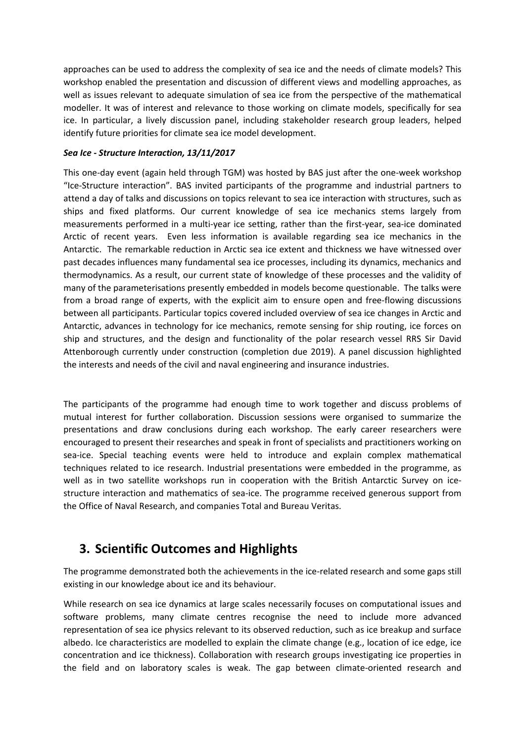approaches can be used to address the complexity of sea ice and the needs of climate models? This workshop enabled the presentation and discussion of different views and modelling approaches, as well as issues relevant to adequate simulation of sea ice from the perspective of the mathematical modeller. It was of interest and relevance to those working on climate models, specifically for sea ice. In particular, a lively discussion panel, including stakeholder research group leaders, helped identify future priorities for climate sea ice model development.

### *Sea Ice - Structure Interaction, 13/11/2017*

This one-day event (again held through TGM) was hosted by BAS just after the one-week workshop "Ice-Structure interaction". BAS invited participants of the programme and industrial partners to attend a day of talks and discussions on topics relevant to sea ice interaction with structures, such as ships and fixed platforms. Our current knowledge of sea ice mechanics stems largely from measurements performed in a multi-year ice setting, rather than the first-year, sea-ice dominated Arctic of recent years. Even less information is available regarding sea ice mechanics in the Antarctic. The remarkable reduction in Arctic sea ice extent and thickness we have witnessed over past decades influences many fundamental sea ice processes, including its dynamics, mechanics and thermodynamics. As a result, our current state of knowledge of these processes and the validity of many of the parameterisations presently embedded in models become questionable. The talks were from a broad range of experts, with the explicit aim to ensure open and free-flowing discussions between all participants. Particular topics covered included overview of sea ice changes in Arctic and Antarctic, advances in technology for ice mechanics, remote sensing for ship routing, ice forces on ship and structures, and the design and functionality of the polar research vessel RRS Sir David Attenborough currently under construction (completion due 2019). A panel discussion highlighted the interests and needs of the civil and naval engineering and insurance industries.

The participants of the programme had enough time to work together and discuss problems of mutual interest for further collaboration. Discussion sessions were organised to summarize the presentations and draw conclusions during each workshop. The early career researchers were encouraged to present their researches and speak in front of specialists and practitioners working on sea-ice. Special teaching events were held to introduce and explain complex mathematical techniques related to ice research. Industrial presentations were embedded in the programme, as well as in two satellite workshops run in cooperation with the British Antarctic Survey on icestructure interaction and mathematics of sea-ice. The programme received generous support from the Office of Naval Research, and companies Total and Bureau Veritas.

## **3. Scientific Outcomes and Highlights**

The programme demonstrated both the achievements in the ice-related research and some gaps still existing in our knowledge about ice and its behaviour.

While research on sea ice dynamics at large scales necessarily focuses on computational issues and software problems, many climate centres recognise the need to include more advanced representation of sea ice physics relevant to its observed reduction, such as ice breakup and surface albedo. Ice characteristics are modelled to explain the climate change (e.g., location of ice edge, ice concentration and ice thickness). Collaboration with research groups investigating ice properties in the field and on laboratory scales is weak. The gap between climate-oriented research and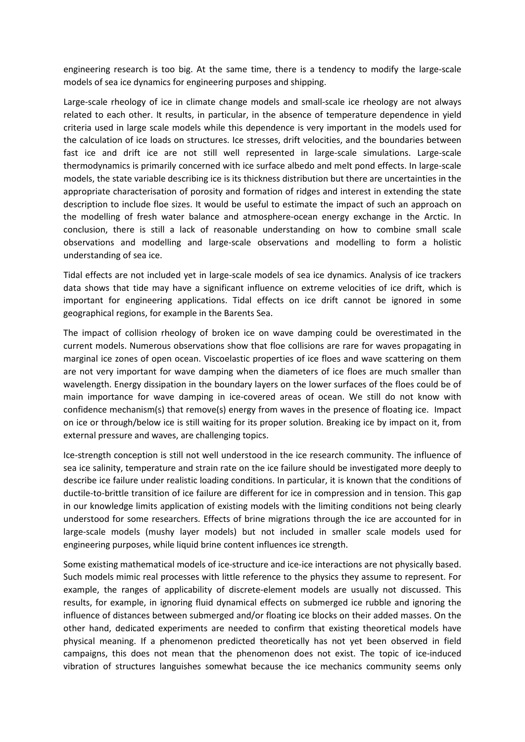engineering research is too big. At the same time, there is a tendency to modify the large-scale models of sea ice dynamics for engineering purposes and shipping.

Large-scale rheology of ice in climate change models and small-scale ice rheology are not always related to each other. It results, in particular, in the absence of temperature dependence in yield criteria used in large scale models while this dependence is very important in the models used for the calculation of ice loads on structures. Ice stresses, drift velocities, and the boundaries between fast ice and drift ice are not still well represented in large-scale simulations. Large-scale thermodynamics is primarily concerned with ice surface albedo and melt pond effects. In large-scale models, the state variable describing ice is its thickness distribution but there are uncertainties in the appropriate characterisation of porosity and formation of ridges and interest in extending the state description to include floe sizes. It would be useful to estimate the impact of such an approach on the modelling of fresh water balance and atmosphere-ocean energy exchange in the Arctic. In conclusion, there is still a lack of reasonable understanding on how to combine small scale observations and modelling and large-scale observations and modelling to form a holistic understanding of sea ice.

Tidal effects are not included yet in large-scale models of sea ice dynamics. Analysis of ice trackers data shows that tide may have a significant influence on extreme velocities of ice drift, which is important for engineering applications. Tidal effects on ice drift cannot be ignored in some geographical regions, for example in the Barents Sea.

The impact of collision rheology of broken ice on wave damping could be overestimated in the current models. Numerous observations show that floe collisions are rare for waves propagating in marginal ice zones of open ocean. Viscoelastic properties of ice floes and wave scattering on them are not very important for wave damping when the diameters of ice floes are much smaller than wavelength. Energy dissipation in the boundary layers on the lower surfaces of the floes could be of main importance for wave damping in ice-covered areas of ocean. We still do not know with confidence mechanism(s) that remove(s) energy from waves in the presence of floating ice. Impact on ice or through/below ice is still waiting for its proper solution. Breaking ice by impact on it, from external pressure and waves, are challenging topics.

Ice-strength conception is still not well understood in the ice research community. The influence of sea ice salinity, temperature and strain rate on the ice failure should be investigated more deeply to describe ice failure under realistic loading conditions. In particular, it is known that the conditions of ductile-to-brittle transition of ice failure are different for ice in compression and in tension. This gap in our knowledge limits application of existing models with the limiting conditions not being clearly understood for some researchers. Effects of brine migrations through the ice are accounted for in large-scale models (mushy layer models) but not included in smaller scale models used for engineering purposes, while liquid brine content influences ice strength.

Some existing mathematical models of ice-structure and ice-ice interactions are not physically based. Such models mimic real processes with little reference to the physics they assume to represent. For example, the ranges of applicability of discrete-element models are usually not discussed. This results, for example, in ignoring fluid dynamical effects on submerged ice rubble and ignoring the influence of distances between submerged and/or floating ice blocks on their added masses. On the other hand, dedicated experiments are needed to confirm that existing theoretical models have physical meaning. If a phenomenon predicted theoretically has not yet been observed in field campaigns, this does not mean that the phenomenon does not exist. The topic of ice-induced vibration of structures languishes somewhat because the ice mechanics community seems only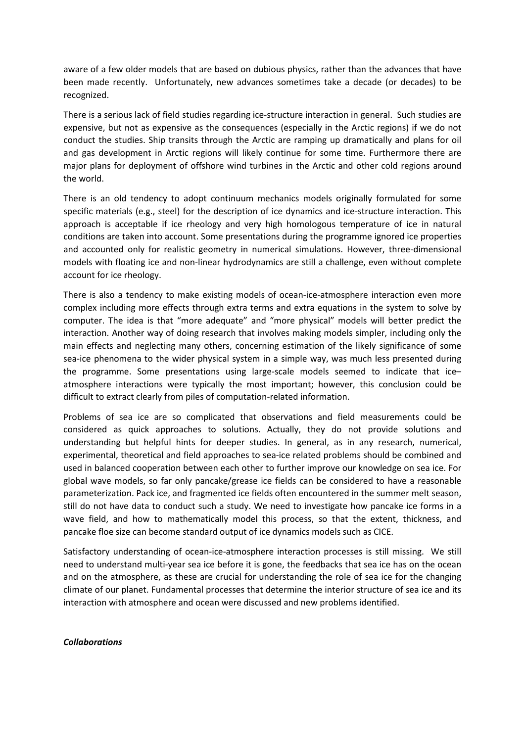aware of a few older models that are based on dubious physics, rather than the advances that have been made recently. Unfortunately, new advances sometimes take a decade (or decades) to be recognized.

There is a serious lack of field studies regarding ice-structure interaction in general. Such studies are expensive, but not as expensive as the consequences (especially in the Arctic regions) if we do not conduct the studies. Ship transits through the Arctic are ramping up dramatically and plans for oil and gas development in Arctic regions will likely continue for some time. Furthermore there are major plans for deployment of offshore wind turbines in the Arctic and other cold regions around the world.

There is an old tendency to adopt continuum mechanics models originally formulated for some specific materials (e.g., steel) for the description of ice dynamics and ice-structure interaction. This approach is acceptable if ice rheology and very high homologous temperature of ice in natural conditions are taken into account. Some presentations during the programme ignored ice properties and accounted only for realistic geometry in numerical simulations. However, three-dimensional models with floating ice and non-linear hydrodynamics are still a challenge, even without complete account for ice rheology.

There is also a tendency to make existing models of ocean-ice-atmosphere interaction even more complex including more effects through extra terms and extra equations in the system to solve by computer. The idea is that "more adequate" and "more physical" models will better predict the interaction. Another way of doing research that involves making models simpler, including only the main effects and neglecting many others, concerning estimation of the likely significance of some sea-ice phenomena to the wider physical system in a simple way, was much less presented during the programme. Some presentations using large-scale models seemed to indicate that ice– atmosphere interactions were typically the most important; however, this conclusion could be difficult to extract clearly from piles of computation-related information.

Problems of sea ice are so complicated that observations and field measurements could be considered as quick approaches to solutions. Actually, they do not provide solutions and understanding but helpful hints for deeper studies. In general, as in any research, numerical, experimental, theoretical and field approaches to sea-ice related problems should be combined and used in balanced cooperation between each other to further improve our knowledge on sea ice. For global wave models, so far only pancake/grease ice fields can be considered to have a reasonable parameterization. Pack ice, and fragmented ice fields often encountered in the summer melt season, still do not have data to conduct such a study. We need to investigate how pancake ice forms in a wave field, and how to mathematically model this process, so that the extent, thickness, and pancake floe size can become standard output of ice dynamics models such as CICE.

Satisfactory understanding of ocean-ice-atmosphere interaction processes is still missing. We still need to understand multi-year sea ice before it is gone, the feedbacks that sea ice has on the ocean and on the atmosphere, as these are crucial for understanding the role of sea ice for the changing climate of our planet. Fundamental processes that determine the interior structure of sea ice and its interaction with atmosphere and ocean were discussed and new problems identified.

#### *Collaborations*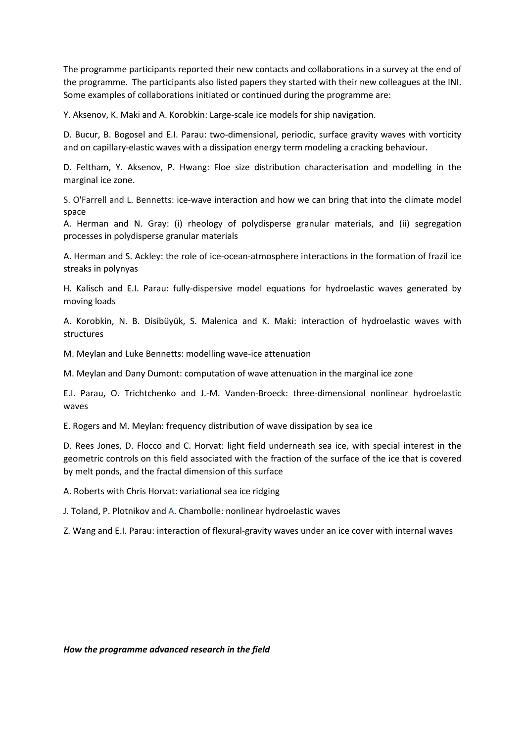The programme participants reported their new contacts and collaborations in a survey at the end of the programme. The participants also listed papers they started with their new colleagues at the INI. Some examples of collaborations initiated or continued during the programme are:

Y. Aksenov, K. Maki and A. Korobkin: Large-scale ice models for ship navigation.

D. Bucur, B. Bogosel and E.I. Parau: two-dimensional, periodic, surface gravity waves with vorticity and on capillary-elastic waves with a dissipation energy term modeling a cracking behaviour.

D. Feltham, Y. Aksenov, P. Hwang: Floe size distribution characterisation and modelling in the marginal ice zone.

S. O'Farrell and L. Bennetts: ice-wave interaction and how we can bring that into the climate model space

A. Herman and N. Gray: (i) rheology of polydisperse granular materials, and (ii) segregation processes in polydisperse granular materials

A. Herman and S. Ackley: the role of ice-ocean-atmosphere interactions in the formation of frazil ice streaks in polynyas

H. Kalisch and E.I. Parau: fully-dispersive model equations for hydroelastic waves generated by moving loads

A. Korobkin, N. B. Disibüyük, S. Malenica and K. Maki: interaction of hydroelastic waves with structures

M. Meylan and Luke Bennetts: modelling wave-ice attenuation

M. Meylan and Dany Dumont: computation of wave attenuation in the marginal ice zone

E.I. Parau, O. Trichtchenko and J.-M. Vanden-Broeck: three-dimensional nonlinear hydroelastic waves

E. Rogers and M. Meylan: frequency distribution of wave dissipation by sea ice

D. Rees Jones, D. Flocco and C. Horvat: light field underneath sea ice, with special interest in the geometric controls on this field associated with the fraction of the surface of the ice that is covered by melt ponds, and the fractal dimension of this surface

A. Roberts with Chris Horvat: variational sea ice ridging

J. Toland, P. Plotnikov and A. Chambolle: nonlinear hydroelastic waves

Z. Wang and E.I. Parau: interaction of flexural-gravity waves under an ice cover with internal waves

*How the programme advanced research in the field*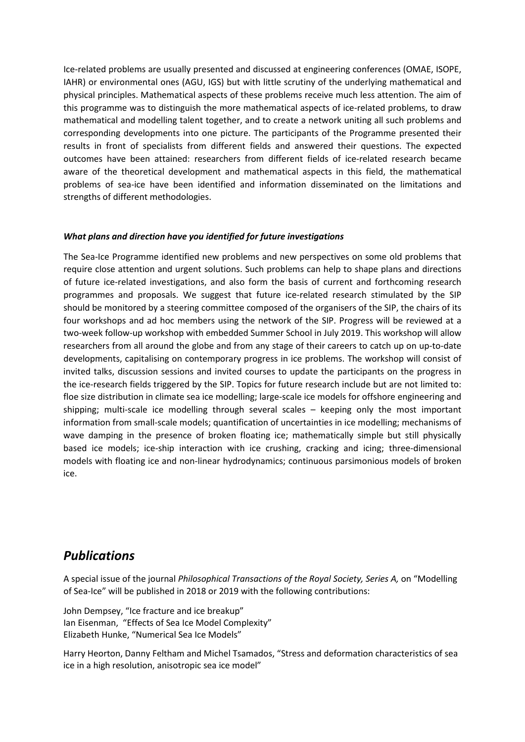Ice-related problems are usually presented and discussed at engineering conferences (OMAE, ISOPE, IAHR) or environmental ones (AGU, IGS) but with little scrutiny of the underlying mathematical and physical principles. Mathematical aspects of these problems receive much less attention. The aim of this programme was to distinguish the more mathematical aspects of ice-related problems, to draw mathematical and modelling talent together, and to create a network uniting all such problems and corresponding developments into one picture. The participants of the Programme presented their results in front of specialists from different fields and answered their questions. The expected outcomes have been attained: researchers from different fields of ice-related research became aware of the theoretical development and mathematical aspects in this field, the mathematical problems of sea-ice have been identified and information disseminated on the limitations and strengths of different methodologies.

#### *What plans and direction have you identified for future investigations*

The Sea-Ice Programme identified new problems and new perspectives on some old problems that require close attention and urgent solutions. Such problems can help to shape plans and directions of future ice-related investigations, and also form the basis of current and forthcoming research programmes and proposals. We suggest that future ice-related research stimulated by the SIP should be monitored by a steering committee composed of the organisers of the SIP, the chairs of its four workshops and ad hoc members using the network of the SIP. Progress will be reviewed at a two-week follow-up workshop with embedded Summer School in July 2019. This workshop will allow researchers from all around the globe and from any stage of their careers to catch up on up-to-date developments, capitalising on contemporary progress in ice problems. The workshop will consist of invited talks, discussion sessions and invited courses to update the participants on the progress in the ice-research fields triggered by the SIP. Topics for future research include but are not limited to: floe size distribution in climate sea ice modelling; large-scale ice models for offshore engineering and shipping; multi-scale ice modelling through several scales – keeping only the most important information from small-scale models; quantification of uncertainties in ice modelling; mechanisms of wave damping in the presence of broken floating ice; mathematically simple but still physically based ice models; ice-ship interaction with ice crushing, cracking and icing; three-dimensional models with floating ice and non-linear hydrodynamics; continuous parsimonious models of broken ice.

## *Publications*

A special issue of the journal *Philosophical Transactions of the Royal Society, Series A,* on "Modelling of Sea-Ice" will be published in 2018 or 2019 with the following contributions:

John Dempsey, "Ice fracture and ice breakup" Ian Eisenman, "Effects of Sea Ice Model Complexity" Elizabeth Hunke, "Numerical Sea Ice Models"

Harry Heorton, Danny Feltham and Michel Tsamados, "Stress and deformation characteristics of sea ice in a high resolution, anisotropic sea ice model"